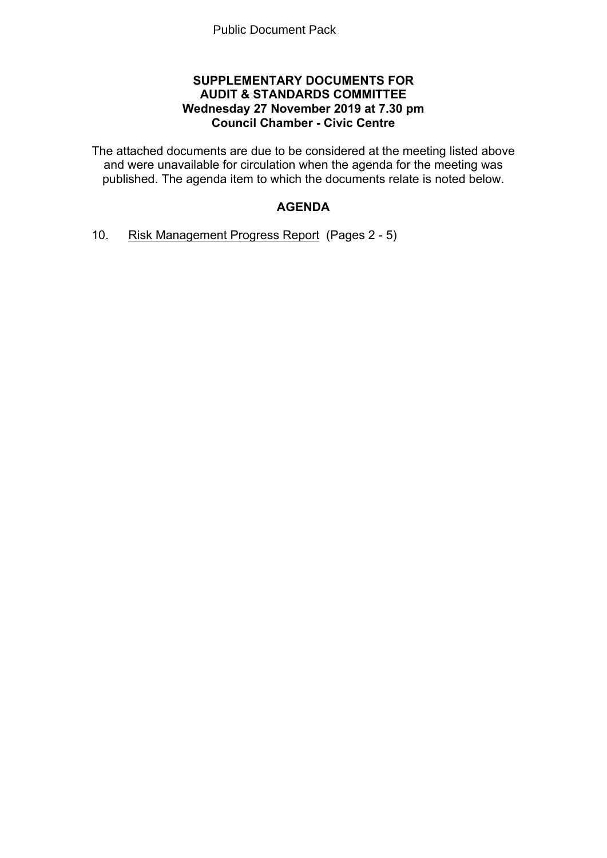## **SUPPLEMENTARY DOCUMENTS FOR AUDIT & STANDARDS COMMITTEE Wednesday 27 November 2019 at 7.30 pm Council Chamber - Civic Centre**

The attached documents are due to be considered at the meeting listed above and were unavailable for circulation when the agenda for the meeting was published. The agenda item to which the documents relate is noted below.

# **AGENDA**

10. Risk Management Progress Report(Pages 2 - 5)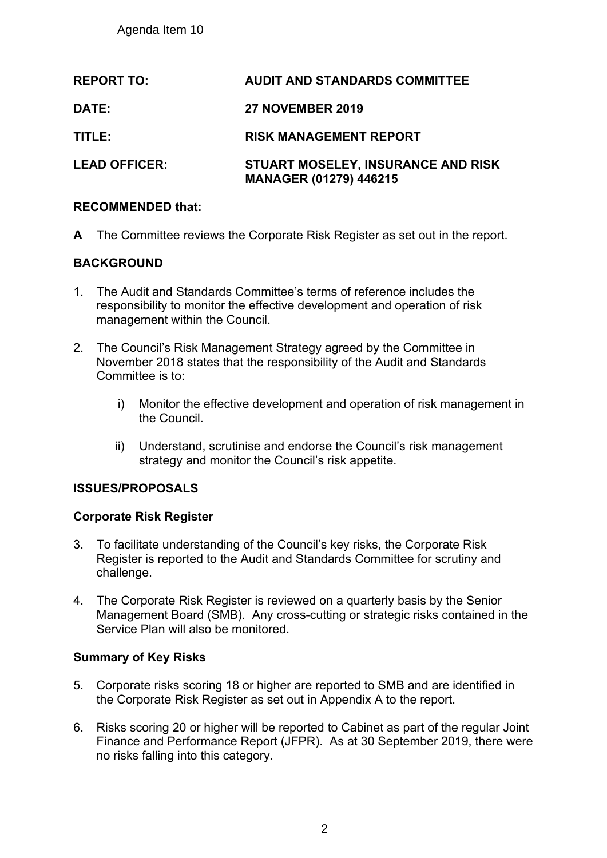Agenda Item 10

| <b>REPORT TO:</b>    | <b>AUDIT AND STANDARDS COMMITTEE</b>                                       |
|----------------------|----------------------------------------------------------------------------|
| <b>DATE:</b>         | <b>27 NOVEMBER 2019</b>                                                    |
| TITLE:               | <b>RISK MANAGEMENT REPORT</b>                                              |
| <b>LEAD OFFICER:</b> | <b>STUART MOSELEY, INSURANCE AND RISK</b><br><b>MANAGER (01279) 446215</b> |

## **RECOMMENDED that:**

**A** The Committee reviews the Corporate Risk Register as set out in the report.

## **BACKGROUND**

- 1. The Audit and Standards Committee's terms of reference includes the responsibility to monitor the effective development and operation of risk management within the Council.
- 2. The Council's Risk Management Strategy agreed by the Committee in November 2018 states that the responsibility of the Audit and Standards Committee is to:
	- i) Monitor the effective development and operation of risk management in the Council.
	- ii) Understand, scrutinise and endorse the Council's risk management strategy and monitor the Council's risk appetite.

## **ISSUES/PROPOSALS**

### **Corporate Risk Register**

- 3. To facilitate understanding of the Council's key risks, the Corporate Risk Register is reported to the Audit and Standards Committee for scrutiny and challenge.
- 4. The Corporate Risk Register is reviewed on a quarterly basis by the Senior Management Board (SMB). Any cross-cutting or strategic risks contained in the Service Plan will also be monitored.

## **Summary of Key Risks**

- 5. Corporate risks scoring 18 or higher are reported to SMB and are identified in the Corporate Risk Register as set out in Appendix A to the report.
- 6. Risks scoring 20 or higher will be reported to Cabinet as part of the regular Joint Finance and Performance Report (JFPR). As at 30 September 2019, there were no risks falling into this category.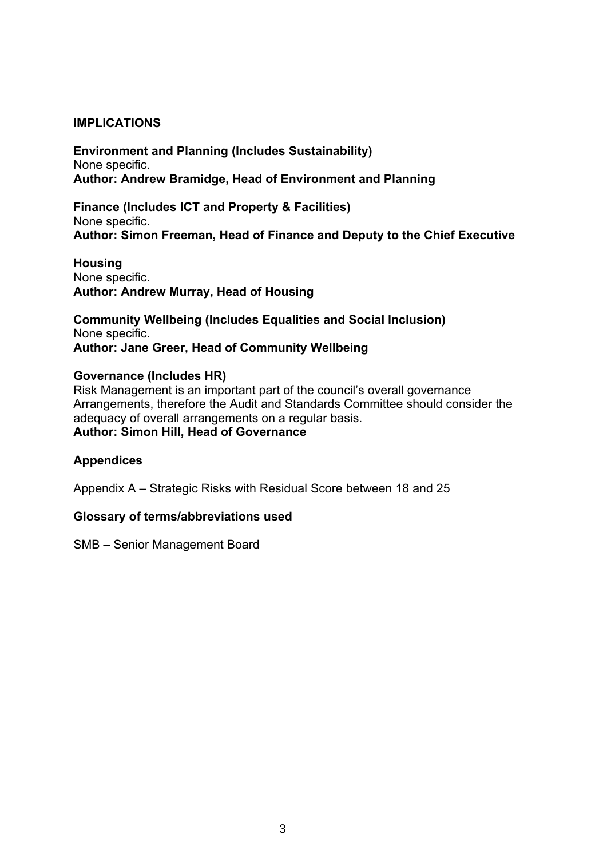## **IMPLICATIONS**

**Environment and Planning (Includes Sustainability)** None specific. **Author: Andrew Bramidge, Head of Environment and Planning**

**Finance (Includes ICT and Property & Facilities)** None specific. **Author: Simon Freeman, Head of Finance and Deputy to the Chief Executive**

**Housing** None specific. **Author: Andrew Murray, Head of Housing**

**Community Wellbeing (Includes Equalities and Social Inclusion)** None specific. **Author: Jane Greer, Head of Community Wellbeing**

#### **Governance (Includes HR)**

Risk Management is an important part of the council's overall governance Arrangements, therefore the Audit and Standards Committee should consider the adequacy of overall arrangements on a regular basis. **Author: Simon Hill, Head of Governance**

#### **Appendices**

Appendix A – Strategic Risks with Residual Score between 18 and 25

#### **Glossary of terms/abbreviations used**

SMB – Senior Management Board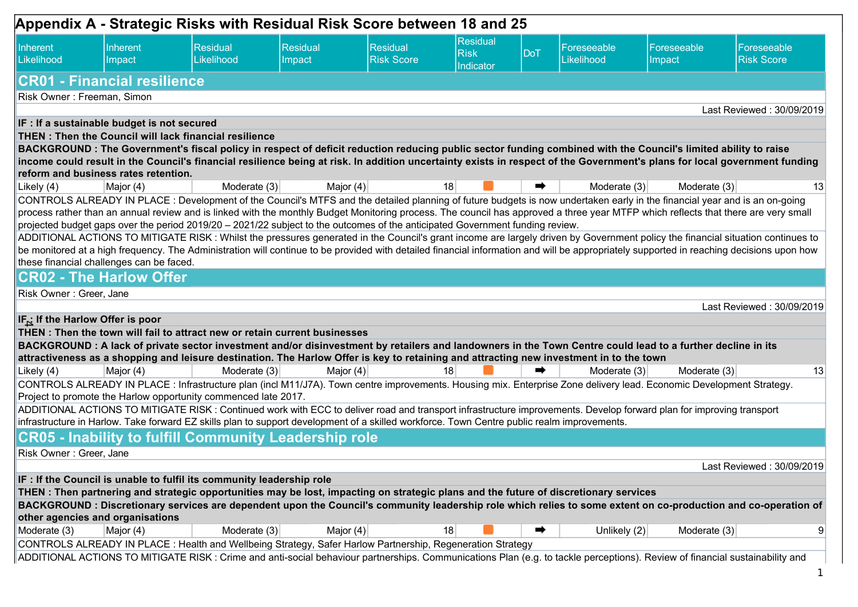|                                             |                                                              | Appendix A - Strategic Risks with Residual Risk Score between 18 and 25                                                                                                                                                                                                                                                                                         |                    |                                      |                                             |            |                                  |                       |                                                                                                                                                                                          |
|---------------------------------------------|--------------------------------------------------------------|-----------------------------------------------------------------------------------------------------------------------------------------------------------------------------------------------------------------------------------------------------------------------------------------------------------------------------------------------------------------|--------------------|--------------------------------------|---------------------------------------------|------------|----------------------------------|-----------------------|------------------------------------------------------------------------------------------------------------------------------------------------------------------------------------------|
| Inherent<br>Likelihood                      | Inherent<br>Impact                                           | Residual<br>Likelihood                                                                                                                                                                                                                                                                                                                                          | Residual<br>Impact | <b>Residual</b><br><b>Risk Score</b> | <b>Residual</b><br><b>Risk</b><br>Indicator | <b>DoT</b> | Foreseeable<br><b>Likelihood</b> | Foreseeable<br>Impact | Foreseeable<br><b>Risk Score</b>                                                                                                                                                         |
|                                             | <b>CR01 - Financial resilience</b>                           |                                                                                                                                                                                                                                                                                                                                                                 |                    |                                      |                                             |            |                                  |                       |                                                                                                                                                                                          |
| Risk Owner: Freeman, Simon                  |                                                              |                                                                                                                                                                                                                                                                                                                                                                 |                    |                                      |                                             |            |                                  |                       |                                                                                                                                                                                          |
|                                             |                                                              |                                                                                                                                                                                                                                                                                                                                                                 |                    |                                      |                                             |            |                                  |                       | Last Reviewed: 30/09/2019                                                                                                                                                                |
|                                             | IF : If a sustainable budget is not secured                  |                                                                                                                                                                                                                                                                                                                                                                 |                    |                                      |                                             |            |                                  |                       |                                                                                                                                                                                          |
|                                             | <b>THEN: Then the Council will lack financial resilience</b> |                                                                                                                                                                                                                                                                                                                                                                 |                    |                                      |                                             |            |                                  |                       |                                                                                                                                                                                          |
|                                             |                                                              | BACKGROUND: The Government's fiscal policy in respect of deficit reduction reducing public sector funding combined with the Council's limited ability to raise                                                                                                                                                                                                  |                    |                                      |                                             |            |                                  |                       |                                                                                                                                                                                          |
|                                             |                                                              |                                                                                                                                                                                                                                                                                                                                                                 |                    |                                      |                                             |            |                                  |                       | income could result in the Council's financial resilience being at risk. In addition uncertainty exists in respect of the Government's plans for local government funding                |
|                                             | reform and business rates retention.                         |                                                                                                                                                                                                                                                                                                                                                                 |                    |                                      | 18                                          |            |                                  |                       |                                                                                                                                                                                          |
| Likely (4)                                  | Major (4)                                                    | Moderate (3)                                                                                                                                                                                                                                                                                                                                                    | Major $(4)$        |                                      |                                             |            | Moderate (3)                     | Moderate (3)          | 13                                                                                                                                                                                       |
|                                             |                                                              | CONTROLS ALREADY IN PLACE: Development of the Council's MTFS and the detailed planning of future budgets is now undertaken early in the financial year and is an on-going<br>process rather than an annual review and is linked with the monthly Budget Monitoring process. The council has approved a three year MTFP which reflects that there are very small |                    |                                      |                                             |            |                                  |                       |                                                                                                                                                                                          |
|                                             |                                                              | projected budget gaps over the period 2019/20 - 2021/22 subject to the outcomes of the anticipated Government funding review.                                                                                                                                                                                                                                   |                    |                                      |                                             |            |                                  |                       |                                                                                                                                                                                          |
|                                             |                                                              |                                                                                                                                                                                                                                                                                                                                                                 |                    |                                      |                                             |            |                                  |                       | ADDITIONAL ACTIONS TO MITIGATE RISK: Whilst the pressures generated in the Council's grant income are largely driven by Government policy the financial situation continues to           |
|                                             |                                                              |                                                                                                                                                                                                                                                                                                                                                                 |                    |                                      |                                             |            |                                  |                       | be monitored at a high frequency. The Administration will continue to be provided with detailed financial information and will be appropriately supported in reaching decisions upon how |
|                                             | these financial challenges can be faced.                     |                                                                                                                                                                                                                                                                                                                                                                 |                    |                                      |                                             |            |                                  |                       |                                                                                                                                                                                          |
|                                             | <b>CR02 - The Harlow Offer</b>                               |                                                                                                                                                                                                                                                                                                                                                                 |                    |                                      |                                             |            |                                  |                       |                                                                                                                                                                                          |
| Risk Owner: Greer, Jane                     |                                                              |                                                                                                                                                                                                                                                                                                                                                                 |                    |                                      |                                             |            |                                  |                       |                                                                                                                                                                                          |
|                                             |                                                              |                                                                                                                                                                                                                                                                                                                                                                 |                    |                                      |                                             |            |                                  |                       | Last Reviewed: 30/09/2019                                                                                                                                                                |
| IF <sub>N</sub> If the Harlow Offer is poor |                                                              |                                                                                                                                                                                                                                                                                                                                                                 |                    |                                      |                                             |            |                                  |                       |                                                                                                                                                                                          |
|                                             |                                                              | THEN: Then the town will fail to attract new or retain current businesses                                                                                                                                                                                                                                                                                       |                    |                                      |                                             |            |                                  |                       |                                                                                                                                                                                          |
|                                             |                                                              | BACKGROUND: A lack of private sector investment and/or disinvestment by retailers and landowners in the Town Centre could lead to a further decline in its                                                                                                                                                                                                      |                    |                                      |                                             |            |                                  |                       |                                                                                                                                                                                          |
|                                             |                                                              | attractiveness as a shopping and leisure destination. The Harlow Offer is key to retaining and attracting new investment in to the town                                                                                                                                                                                                                         |                    |                                      |                                             |            |                                  |                       |                                                                                                                                                                                          |
| Likely (4)                                  | Major (4)                                                    | Moderate (3)                                                                                                                                                                                                                                                                                                                                                    | Major $(4)$        |                                      | 18                                          |            | Moderate (3)                     | Moderate (3)          | 13                                                                                                                                                                                       |
|                                             |                                                              | CONTROLS ALREADY IN PLACE : Infrastructure plan (incl M11/J7A). Town centre improvements. Housing mix. Enterprise Zone delivery lead. Economic Development Strategy.                                                                                                                                                                                            |                    |                                      |                                             |            |                                  |                       |                                                                                                                                                                                          |
|                                             |                                                              | Project to promote the Harlow opportunity commenced late 2017.                                                                                                                                                                                                                                                                                                  |                    |                                      |                                             |            |                                  |                       |                                                                                                                                                                                          |
|                                             |                                                              | ADDITIONAL ACTIONS TO MITIGATE RISK: Continued work with ECC to deliver road and transport infrastructure improvements. Develop forward plan for improving transport                                                                                                                                                                                            |                    |                                      |                                             |            |                                  |                       |                                                                                                                                                                                          |
|                                             |                                                              | infrastructure in Harlow. Take forward EZ skills plan to support development of a skilled workforce. Town Centre public realm improvements.                                                                                                                                                                                                                     |                    |                                      |                                             |            |                                  |                       |                                                                                                                                                                                          |
|                                             |                                                              | <b>CR05 - Inability to fulfill Community Leadership role</b>                                                                                                                                                                                                                                                                                                    |                    |                                      |                                             |            |                                  |                       |                                                                                                                                                                                          |
| Risk Owner: Greer, Jane                     |                                                              |                                                                                                                                                                                                                                                                                                                                                                 |                    |                                      |                                             |            |                                  |                       |                                                                                                                                                                                          |
|                                             |                                                              |                                                                                                                                                                                                                                                                                                                                                                 |                    |                                      |                                             |            |                                  |                       | Last Reviewed: 30/09/2019                                                                                                                                                                |
|                                             |                                                              | IF : If the Council is unable to fulfil its community leadership role                                                                                                                                                                                                                                                                                           |                    |                                      |                                             |            |                                  |                       |                                                                                                                                                                                          |
|                                             |                                                              | THEN: Then partnering and strategic opportunities may be lost, impacting on strategic plans and the future of discretionary services                                                                                                                                                                                                                            |                    |                                      |                                             |            |                                  |                       |                                                                                                                                                                                          |
|                                             |                                                              |                                                                                                                                                                                                                                                                                                                                                                 |                    |                                      |                                             |            |                                  |                       | BACKGROUND : Discretionary services are dependent upon the Council's community leadership role which relies to some extent on co-production and co-operation of                          |
| other agencies and organisations            |                                                              |                                                                                                                                                                                                                                                                                                                                                                 |                    |                                      |                                             |            |                                  |                       |                                                                                                                                                                                          |
| Moderate (3)                                | Major (4)                                                    | Moderate (3)                                                                                                                                                                                                                                                                                                                                                    | Major (4)          |                                      | 18                                          | ➡          | Unlikely $(2)$                   | Moderate (3)          | 9                                                                                                                                                                                        |
|                                             |                                                              | CONTROLS ALREADY IN PLACE : Health and Wellbeing Strategy, Safer Harlow Partnership, Regeneration Strategy                                                                                                                                                                                                                                                      |                    |                                      |                                             |            |                                  |                       |                                                                                                                                                                                          |
|                                             |                                                              | ADDITIONAL ACTIONS TO MITIGATE RISK : Crime and anti-social behaviour partnerships. Communications Plan (e.g. to tackle perceptions). Review of financial sustainability and                                                                                                                                                                                    |                    |                                      |                                             |            |                                  |                       |                                                                                                                                                                                          |